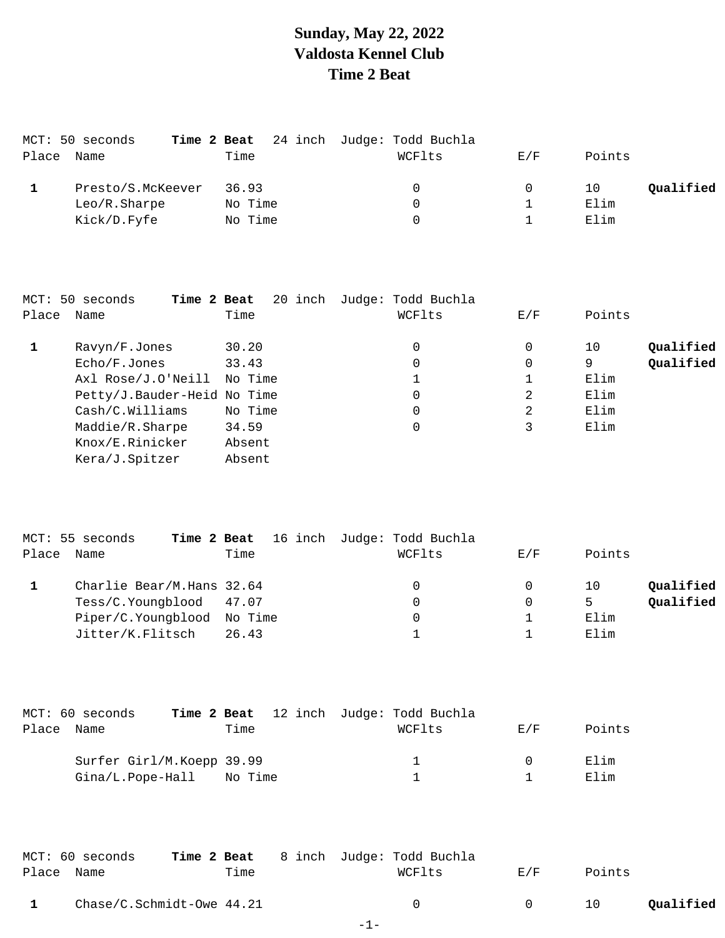# **Sunday, May 22, 2022 Valdosta Kennel Club Time 2 Beat**

|       | MCT: 50 seconds<br>Time 2 Beat |         | 24 inch Judge: Todd Buchla |     |                 |
|-------|--------------------------------|---------|----------------------------|-----|-----------------|
| Place | Name                           | Time    | WCFlts                     | E/F | Points          |
|       |                                |         |                            |     |                 |
|       | Presto/S.McKeever              | 36.93   | 0                          | 0   | Qualified<br>10 |
|       | Leo/R.Sharpe                   | No Time | 0                          |     | Elim            |
|       | Kick/D.Fyfe                    | No Time | 0                          |     | Elim            |
|       |                                |         |                            |     |                 |

|       | MCT: 50 seconds<br>Time 2 Beat | 20 inch | Judge: Todd Buchla |     |        |           |
|-------|--------------------------------|---------|--------------------|-----|--------|-----------|
| Place | Name                           | Time    | WCFlts             | E/F | Points |           |
|       | Ravyn/F.Jones                  | 30.20   | 0                  | 0   | 10     | Qualified |
|       | Echo/F.Jones                   | 33.43   | 0                  | 0   | 9      | Qualified |
|       | Axl Rose/J.O'Neill             | No Time |                    |     | Elim   |           |
|       | Petty/J.Bauder-Heid No Time    |         | 0                  | 2   | Elim   |           |
|       | Cash/C.Willians                | No Time | 0                  | 2   | Elim   |           |
|       | Maddie/R.Sharpe                | 34.59   | $\mathbf 0$        | 3   | Elim   |           |
|       | Knox/E.Rinicker                | Absent  |                    |     |        |           |
|       | Kera/J.Spitzer                 | Absent  |                    |     |        |           |

|       | MCT: 55 seconds            |       | Time 2 Beat 16 inch Judge: Todd Buchla |     |                 |
|-------|----------------------------|-------|----------------------------------------|-----|-----------------|
| Place | Name                       | Time  | WCFlts                                 | E/F | Points          |
|       | Charlie Bear/M.Hans 32.64  |       |                                        |     | Oualified<br>10 |
|       | Tess/C.Youngblood 47.07    |       |                                        |     | Oualified       |
|       | Piper/C.Youngblood No Time |       |                                        |     | Elim            |
|       | Jitter/K.Flitsch           | 26.43 |                                        |     | Elim            |

|       | MCT: 60 seconds |                            |      |  | Time 2 Beat 12 inch Judge: Todd Buchla |          |        |
|-------|-----------------|----------------------------|------|--|----------------------------------------|----------|--------|
| Place | Name            |                            | Time |  | WCFlts                                 | E/F      | Points |
|       |                 | Surfer Girl/M.Koepp 39.99  |      |  | $\mathbf{1}$                           | $\Omega$ | Elim   |
|       |                 | $Gina/L.Pope-Hall$ No Time |      |  |                                        |          | Elim   |

|            | MCT: 60 seconds           |      | <b>Time 2 Beat</b> 8 inch Judge: Todd Buchla |             |        |           |
|------------|---------------------------|------|----------------------------------------------|-------------|--------|-----------|
| Place Name |                           | Time | WCFlts                                       | <b>E</b> /F | Points |           |
|            | Chase/C.Schmidt-Owe 44.21 |      |                                              | $\cap$      | 10     | Qualified |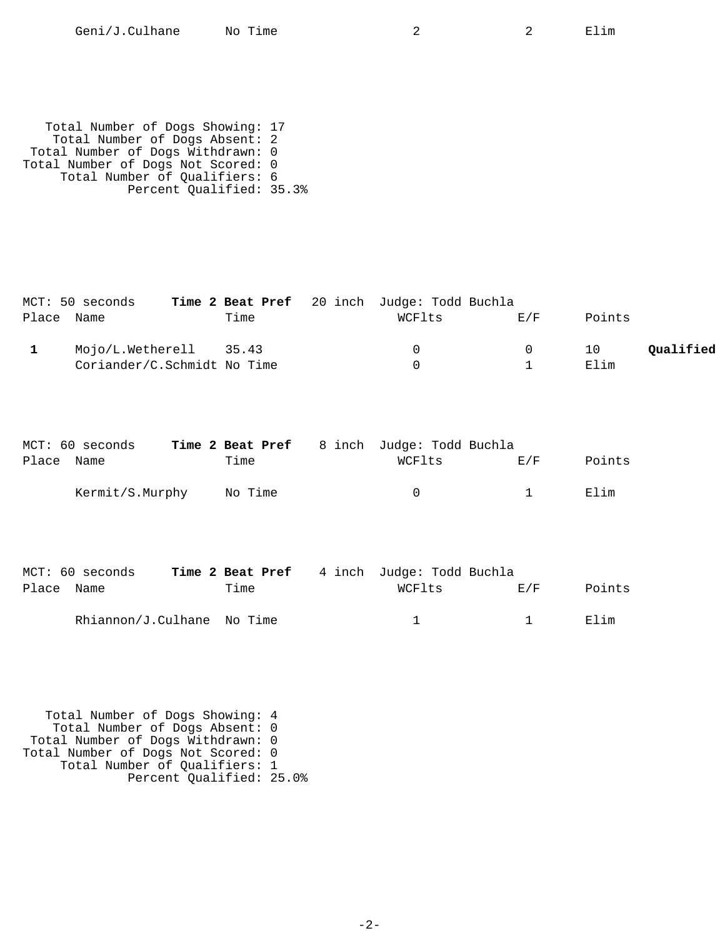Total Number of Dogs Showing: 17 Total Number of Dogs Absent: 2 Total Number of Dogs Withdrawn: 0 Total Number of Dogs Not Scored: 0 Total Number of Qualifiers: 6 Percent Qualified: 35.3%

|            | MCT: 50 seconds             |      | Time 2 Beat Pref 20 inch Judge: Todd Buchla |          |                 |
|------------|-----------------------------|------|---------------------------------------------|----------|-----------------|
| Place Name |                             | Time | WCFlts                                      | F/F      | Points          |
|            | Mojo/L.Wetherell 35.43      |      | $\Omega$                                    | $\Omega$ | Oualified<br>10 |
|            | Coriander/C.Schmidt No Time |      |                                             |          | Elim            |

|            | MCT: 60 seconds |         | Time 2 Beat Pref 8 inch Judge: Todd Buchla |              |        |
|------------|-----------------|---------|--------------------------------------------|--------------|--------|
| Place Name |                 | Time    | WCFlts                                     | <b>E</b> ./F | Points |
|            | Kermit/S.Murphy | No Time | $\cap$                                     | $\mathbf{1}$ | 田lim   |

|            | MCT: 60 seconds            | Time 2 Beat Pref 4 inch Judge: Todd Buchla |        |                |        |
|------------|----------------------------|--------------------------------------------|--------|----------------|--------|
| Place Name |                            | Time                                       | WCFlts | <b>ELF</b>     | Points |
|            | Rhiannon/J.Culhane No Time |                                            |        | $\overline{1}$ | Flim   |

 Total Number of Dogs Showing: 4 Total Number of Dogs Absent: 0 Total Number of Dogs Withdrawn: 0 Total Number of Dogs Not Scored: 0 Total Number of Qualifiers: 1 Percent Qualified: 25.0%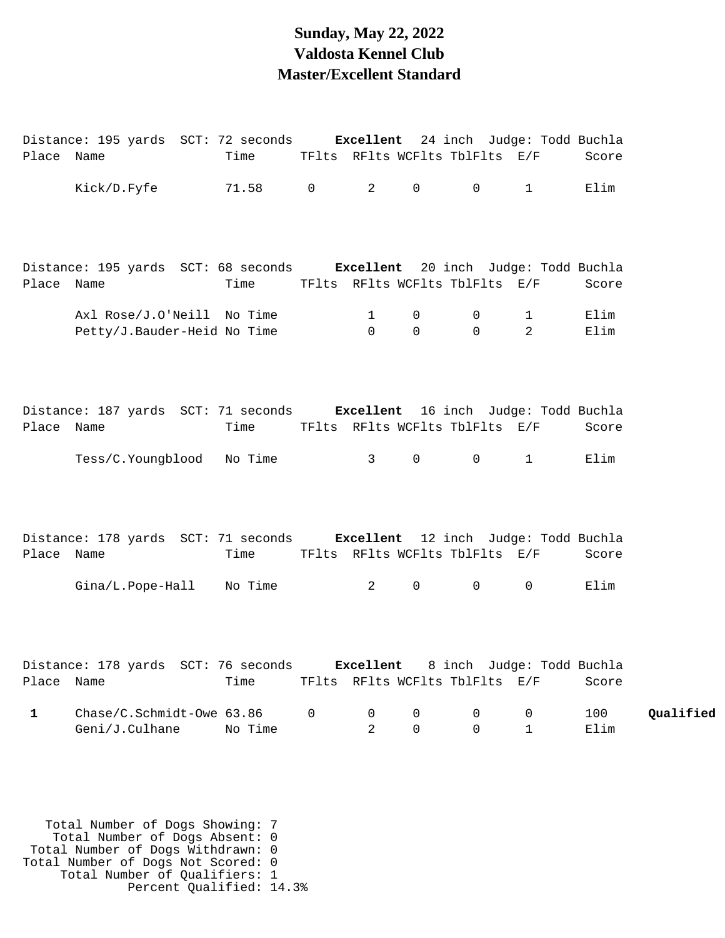#### **Sunday, May 22, 2022 Valdosta Kennel Club Master/Excellent Standard**

|              | Distance: 195 yards SCT: 72 seconds <b>Excellent</b> 24 inch Judge: Todd Buchla |         |                          |                              |                                  |                                          |              |           |
|--------------|---------------------------------------------------------------------------------|---------|--------------------------|------------------------------|----------------------------------|------------------------------------------|--------------|-----------|
| Place Name   |                                                                                 | Time    |                          |                              | TFlts RFlts WCFlts TblFlts E/F   |                                          | Score        |           |
|              | Kick/D.Fyfe                                                                     | 71.58 0 | $\overline{2}$           | 0                            | $0 \qquad \qquad$                | 1                                        | Elim         |           |
|              | Distance: 195 yards SCT: 68 seconds Excellent 20 inch Judge: Todd Buchla        |         |                          |                              |                                  |                                          |              |           |
| Place Name   |                                                                                 | Time    |                          |                              | TFlts RFlts WCFlts TblFlts E/F   |                                          | Score        |           |
|              | Axl Rose/J.O'Neill No Time<br>Petty/J.Bauder-Heid No Time                       |         | $\mathbf{1}$<br>$\Omega$ | 0<br>$\Omega$                | $\overline{0}$<br>$\Omega$       | $1 \quad$<br>2                           | Elim<br>Elim |           |
| Place Name   | Distance: 187 yards SCT: 71 seconds Excellent 16 inch Judge: Todd Buchla        | Time    |                          |                              | TFlts RFlts WCFlts TblFlts E/F   |                                          | Score        |           |
|              | Tess/C.Youngblood No Time                                                       |         | $3^{\circ}$              | 0                            | $\overline{0}$                   | $1 \quad$                                | Elim         |           |
| Place Name   | Distance: 178 yards SCT: 71 seconds Excellent 12 inch Judge: Todd Buchla        | Time    |                          |                              | TFlts RFlts WCFlts TblFlts E/F   |                                          | Score        |           |
|              | Gina/L.Pope-Hall No Time                                                        |         | $\overline{2}$           | $0 \qquad \qquad$            | $\mathbf 0$                      | $\overline{0}$                           | Elim         |           |
| Place Name   | Distance: 178 yards SCT: 76 seconds <b>Excellent</b> 8 inch Judge: Todd Buchla  | Time    |                          |                              |                                  | TFlts RFlts WCFlts TblFlts E/F           | Score        |           |
| $\mathbf{1}$ | Chase/C.Schmidt-Owe 63.86 0<br>Geni/J.Culhane                                   | No Time | $\overline{0}$<br>2      | $\mathsf{O}$<br>$\mathsf{O}$ | $\overline{0}$<br>$\overline{0}$ | $\overline{0}$<br>$1 \quad \blacksquare$ | 100<br>Elim  | Qualified |

 Total Number of Dogs Showing: 7 Total Number of Dogs Absent: 0 Total Number of Dogs Withdrawn: 0 Total Number of Dogs Not Scored: 0 Total Number of Qualifiers: 1 Percent Qualified: 14.3%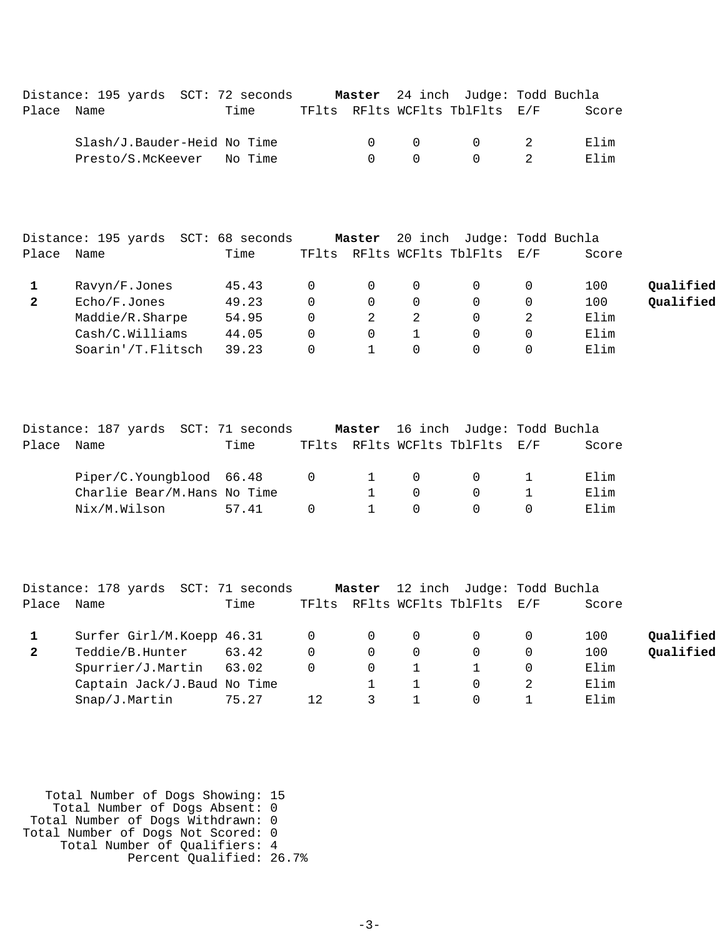|            | Distance: 195 yards SCT: 72 seconds |      |                   |        | <b>Master</b> 24 inch Judge: Todd Buchla |       |
|------------|-------------------------------------|------|-------------------|--------|------------------------------------------|-------|
| Place Name |                                     | Time |                   |        | TFlts RFlts WCFlts TblFlts E/F           | Score |
|            | Slash/J.Bauder-Heid No Time         |      | $\cap$ and $\cap$ | $\cap$ | $\begin{array}{ccc} 0 & 2 \end{array}$   | Elim  |
|            | Presto/S.McKeever No Time           |      | $\cap$            | $\cap$ | $\begin{array}{ccc} 0 & 2 \end{array}$   | Elim  |

|              | Distance: 195 yards SCT: 68 seconds |       |       | Master   |          | 20 inch Judge: Todd Buchla |       |           |
|--------------|-------------------------------------|-------|-------|----------|----------|----------------------------|-------|-----------|
| Place        | Name                                | Time  | TFlts |          |          | RFlts WCFlts TblFlts E/F   | Score |           |
|              | Ravyn/F.Jones                       | 45.43 |       |          | $\Omega$ |                            | 100   | Qualified |
| $\mathbf{2}$ | Echo/F.Jones                        | 49.23 | 0     |          | $\Omega$ |                            | 100   | Qualified |
|              | Maddie/R.Sharpe                     | 54.95 | 0     |          |          |                            | Elim  |           |
|              | Cash/C.Willians                     | 44.05 | 0     | $\Omega$ |          |                            | Elim  |           |
|              | Soarin'/T.Flitsch                   | 39.23 |       |          |          |                            | Elim  |           |

|       | Distance: 187 yards SCT: 71 seconds |       |                |          | Master 16 inch Judge: Todd Buchla |       |
|-------|-------------------------------------|-------|----------------|----------|-----------------------------------|-------|
| Place | Name                                | Time  |                |          | TFlts RFlts WCFlts TblFlts E/F    | Score |
|       | Piper/C.Youngblood 66.48            |       | $\overline{0}$ | $\cap$   |                                   | Elim  |
|       | Charlie Bear/M.Hans No Time         |       |                | $\cap$   | $\Omega$                          | Elim  |
|       | Nix/M.Wilson                        | 57.41 |                | $\Omega$ |                                   | Elim  |

|            | Distance: 178 yards SCT: 71 seconds |       |                | Master   |          | 12 inch Judge: Todd Buchla     |          |       |           |
|------------|-------------------------------------|-------|----------------|----------|----------|--------------------------------|----------|-------|-----------|
| Place Name |                                     | Time  |                |          |          | TFlts RFlts WCFlts TblFlts E/F |          | Score |           |
|            | Surfer Girl/M.Koepp 46.31           |       | $\overline{0}$ | - 0      | 0        |                                |          | 100   | Qualified |
|            | Teddie/B.Hunter                     | 63.42 | $\Omega$       | $\Omega$ | $\Omega$ |                                | 0        | 100   | Qualified |
|            | Spurrier/J.Martin 63.02             |       |                | 0        |          |                                | $\Omega$ | Elim  |           |
|            | Captain Jack/J. Baud No Time        |       |                |          |          |                                |          | Elim  |           |
|            | Snap/J.Martin                       | 75.27 | 12.            |          |          |                                |          | Elim  |           |

 Total Number of Dogs Showing: 15 Total Number of Dogs Absent: 0 Total Number of Dogs Withdrawn: 0 Total Number of Dogs Not Scored: 0 Total Number of Qualifiers: 4 Percent Qualified: 26.7%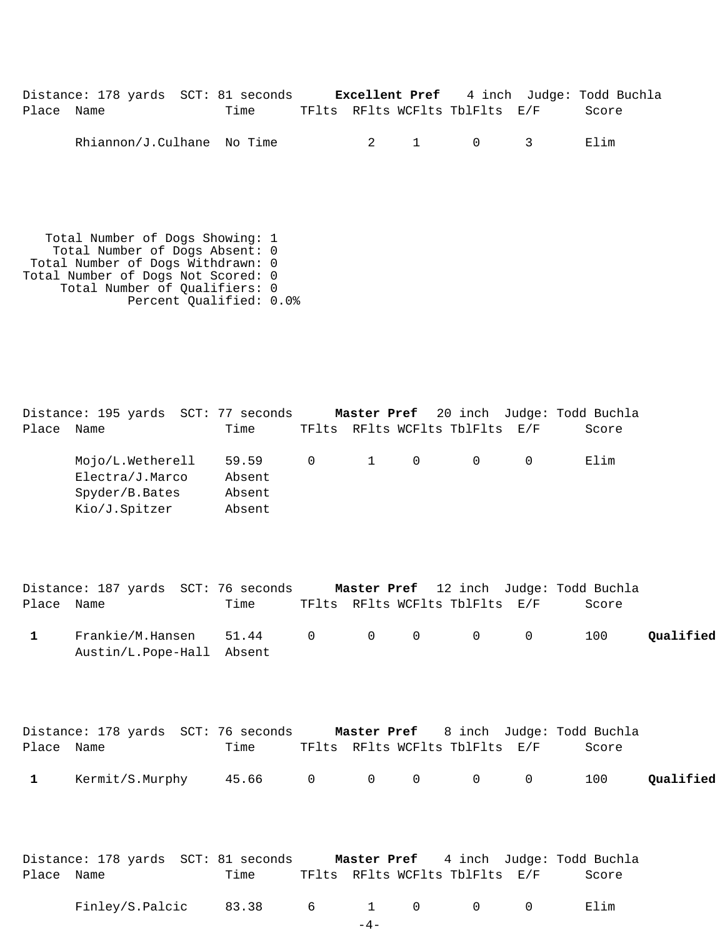Distance: 178 yards SCT: 81 seconds **Excellent Pref** 4 inch Judge: Todd Buchla Place Name Time TFlts RFlts WCFlts TblFlts E/F Score Rhiannon/J.Culhane No Time  $2 \qquad 1 \qquad 0 \qquad 3 \qquad$  Elim

 Total Number of Dogs Showing: 1 Total Number of Dogs Absent: 0 Total Number of Dogs Withdrawn: 0 Total Number of Dogs Not Scored: 0 Total Number of Qualifiers: 0 Percent Qualified: 0.0%

Distance: 195 yards SCT: 77 seconds **Master Pref** 20 inch Judge: Todd Buchla Place Name Time TFlts RFlts WCFlts TblFlts E/F Score Mojo/L.Wetherell 59.59 0 1 0 0 0 Elim Electra/J.Marco Absent Spyder/B.Bates Absent Kio/J.Spitzer Absent

|              | Distance: 187 yards SCT: 76 seconds    |      |  |                                | <b>Master Pref</b> 12 inch Judge: Todd Buchla |           |
|--------------|----------------------------------------|------|--|--------------------------------|-----------------------------------------------|-----------|
| Place Name   |                                        | Time |  | TFlts RFlts WCFlts TblFlts E/F | Score                                         |           |
| $\mathbf{1}$ | Frankie/M.Hansen 51.44 $0$ 0 $0$ 0 $0$ |      |  |                                | 100                                           | Oualified |
|              | Austin/L.Pope-Hall Absent              |      |  |                                |                                               |           |

|              | Distance: 178 yards SCT: 76 seconds |      | Master Pref 8 inch Judge: Todd Buchla |  |       |           |
|--------------|-------------------------------------|------|---------------------------------------|--|-------|-----------|
| Place Name   |                                     | Time | TFlts RFlts WCFlts TblFlts E/F        |  | Score |           |
| $\mathbf{1}$ | Kermit/S.Murphy                     |      | 45.66 0 0 0 0 0                       |  | 100   | Qualified |

Distance: 178 yards SCT: 81 seconds **Master Pref** 4 inch Judge: Todd Buchla Place Name Time TFlts RFlts WCFlts TblFlts E/F Score

| Finley/S.Palcic | 83.38 |  |  |  |  |  | :⊥ım |
|-----------------|-------|--|--|--|--|--|------|
|-----------------|-------|--|--|--|--|--|------|

 $-4-$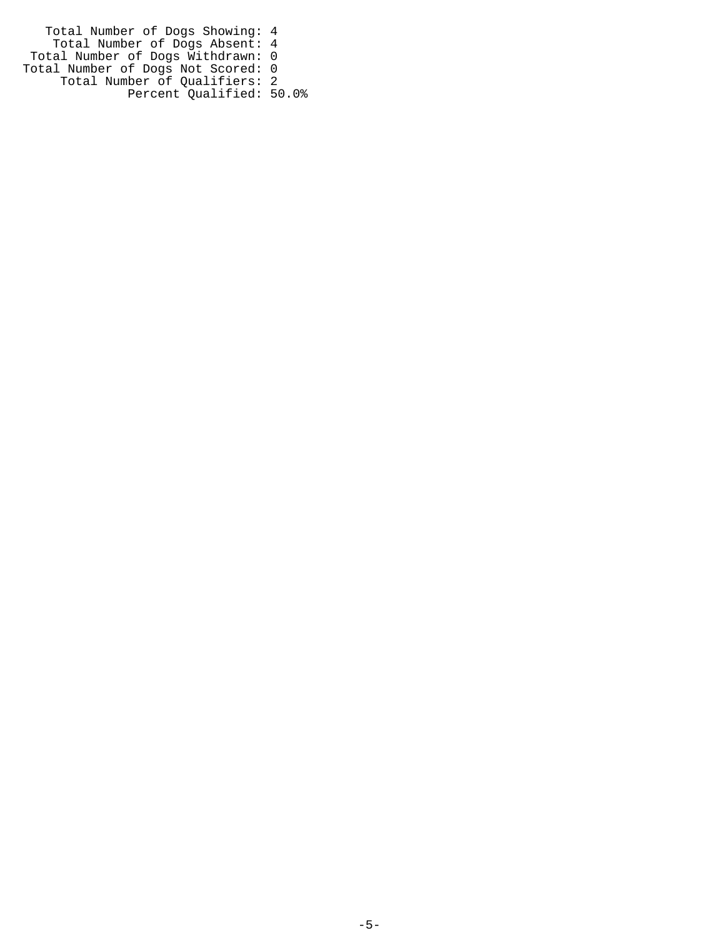Total Number of Dogs Showing: 4 Total Number of Dogs Absent: 4 Total Number of Dogs Withdrawn: 0 Total Number of Dogs Not Scored: 0 Total Number of Qualifiers: 2 Percent Qualified: 50.0%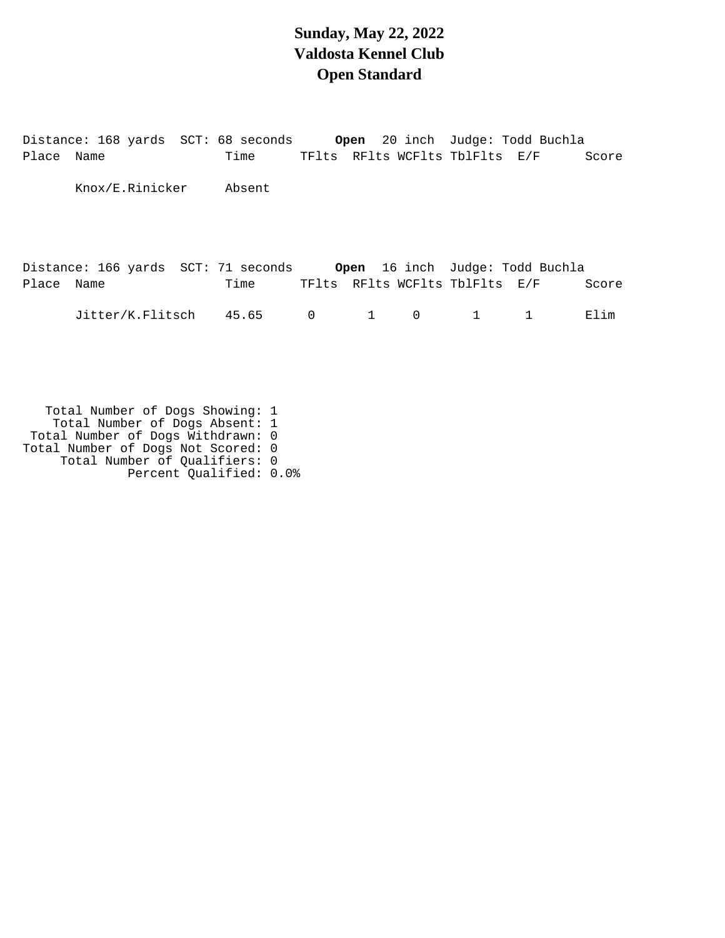# **Sunday, May 22, 2022 Valdosta Kennel Club Open Standard**

Distance: 168 yards SCT: 68 seconds **Open** 20 inch Judge: Todd Buchla Place Name Time TFlts RFlts WCFlts TblFlts E/F Score Knox/E.Rinicker Absent Distance: 166 yards SCT: 71 seconds **Open** 16 inch Judge: Todd Buchla Place Name Time TFlts RFlts WCFlts TblFlts E/F Score Jitter/K.Flitsch 45.65 0 1 0 1 1 Elim Total Number of Dogs Showing: 1 Total Number of Dogs Absent: 1

- Total Number of Dogs Withdrawn: 0
- Total Number of Dogs Not Scored: 0 Total Number of Qualifiers: 0
	- Percent Qualified: 0.0%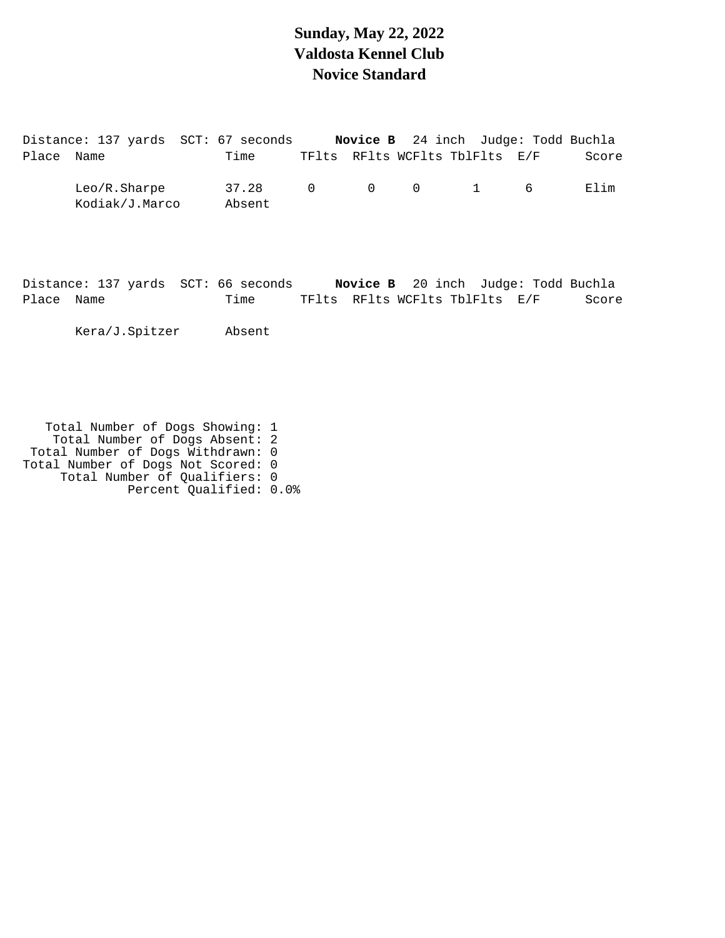#### **Sunday, May 22, 2022 Valdosta Kennel Club Novice Standard**

Distance: 137 yards SCT: 67 seconds **Novice B** 24 inch Judge: Todd Buchla Place Name Time TFlts RFlts WCFlts TblFlts E/F Score Leo/R.Sharpe 37.28 0 0 0 1 6 Elim Kodiak/J.Marco Absent

Distance: 137 yards SCT: 66 seconds **Novice B** 20 inch Judge: Todd Buchla Place Name Time TFlts RFlts WCFlts TblFlts E/F Score

Kera/J.Spitzer Absent

 Total Number of Dogs Showing: 1 Total Number of Dogs Absent: 2 Total Number of Dogs Withdrawn: 0 Total Number of Dogs Not Scored: 0 Total Number of Qualifiers: 0 Percent Qualified: 0.0%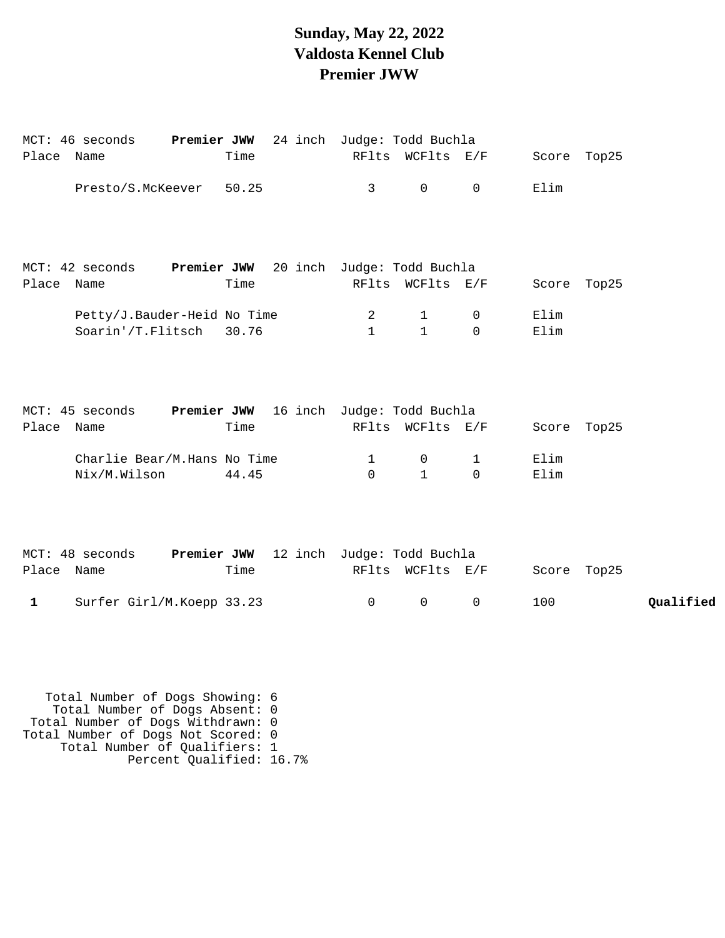# **Sunday, May 22, 2022 Valdosta Kennel Club Premier JWW**

|             | MCT: 46 seconds                                               | Premier JWW 24 inch Judge: Todd Buchla         |                                |                              |                          |              |             |           |
|-------------|---------------------------------------------------------------|------------------------------------------------|--------------------------------|------------------------------|--------------------------|--------------|-------------|-----------|
| Place Name  |                                                               | Time                                           |                                | RFlts WCFlts E/F             |                          |              | Score Top25 |           |
|             | Presto/S.McKeever                                             | 50.25                                          | $\mathbf{3}$                   | $\mathbf 0$                  | $\mathbf 0$              | Elim         |             |           |
|             | MCT: 42 seconds <b>Premier JWW</b> 20 inch Judge: Todd Buchla |                                                |                                |                              |                          |              |             |           |
| Place Name  |                                                               | Time                                           |                                | RFlts WCFlts E/F             |                          |              | Score Top25 |           |
|             | Petty/J.Bauder-Heid No Time<br>Soarin'/T.Flitsch 30.76        |                                                | $\overline{a}$<br>$\mathbf{1}$ | $\mathbf{1}$<br>$\mathbf{1}$ | 0<br>$\Omega$            | Elim<br>Elim |             |           |
| Place Name  | MCT: 45 seconds Premier JWW 16 inch Judge: Todd Buchla        | Time                                           |                                | RFlts WCFlts E/F             |                          |              |             |           |
|             |                                                               |                                                |                                |                              |                          |              | Score Top25 |           |
|             | Charlie Bear/M.Hans No Time<br>Nix/M.Wilson                   | 44.45                                          | $\mathbf{1}$<br>$\Omega$       | 0<br>$\mathbf{1}$            | $\mathbf{1}$<br>$\Omega$ | Elim<br>Elim |             |           |
| Place Name  | MCT: 48 seconds                                               | Premier JWW 12 inch Judge: Todd Buchla<br>Time |                                | RFlts WCFlts E/F             |                          |              | Score Top25 |           |
| $\mathbf 1$ | Surfer Girl/M.Koepp 33.23                                     |                                                | $\overline{0}$                 | $\mathbf 0$                  | $\mathsf{O}$             | 100          |             | Qualified |

 Total Number of Dogs Showing: 6 Total Number of Dogs Absent: 0 Total Number of Dogs Withdrawn: 0 Total Number of Dogs Not Scored: 0 Total Number of Qualifiers: 1 Percent Qualified: 16.7%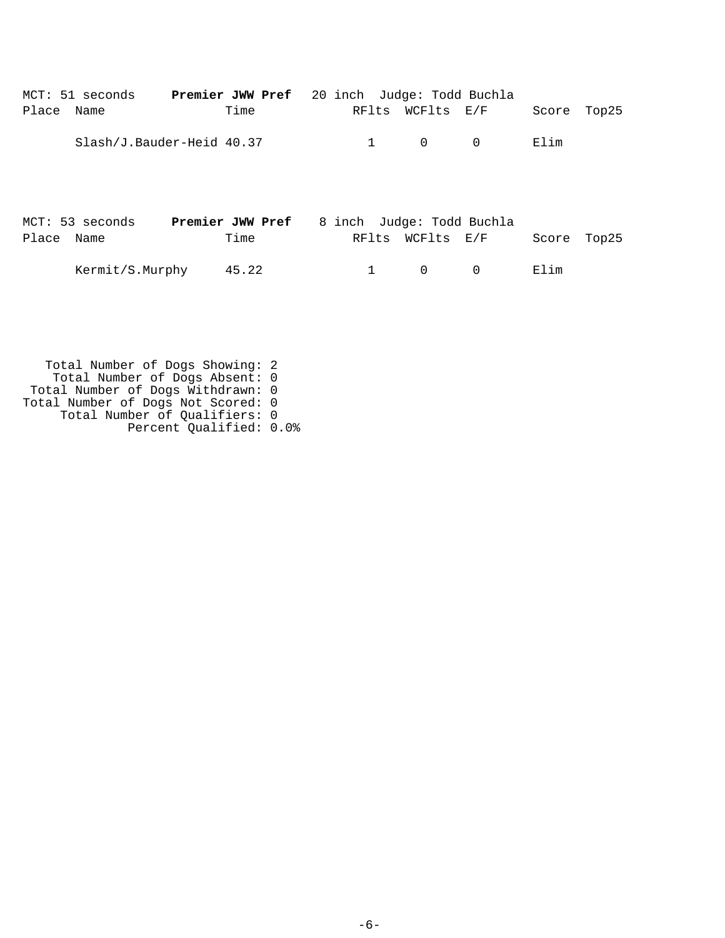| MCT: 51 seconds<br>Place Name | <b>Premier JWW Pref</b> 20 inch Judge: Todd Buchla<br>Time | RFlts        | WCFlts E/F   |                           | Score | Top25 |
|-------------------------------|------------------------------------------------------------|--------------|--------------|---------------------------|-------|-------|
|                               | Slash/J.Bauder-Heid 40.37                                  | $\mathbf{1}$ | $\mathbf{0}$ | $\mathbf 0$               | Elim  |       |
| MCT: 53 seconds<br>Place Name | Premier JWW Pref<br>Time                                   | RFlts        | WCFlts E/F   | 8 inch Judge: Todd Buchla | Score | Top25 |
| Kermit/S.Murphy               | 45.22                                                      |              | $\mathbf 0$  | 0                         | Elim  |       |

 Total Number of Dogs Showing: 2 Total Number of Dogs Absent: 0 Total Number of Dogs Withdrawn: 0 Total Number of Dogs Not Scored: 0 Total Number of Qualifiers: 0 Percent Qualified: 0.0%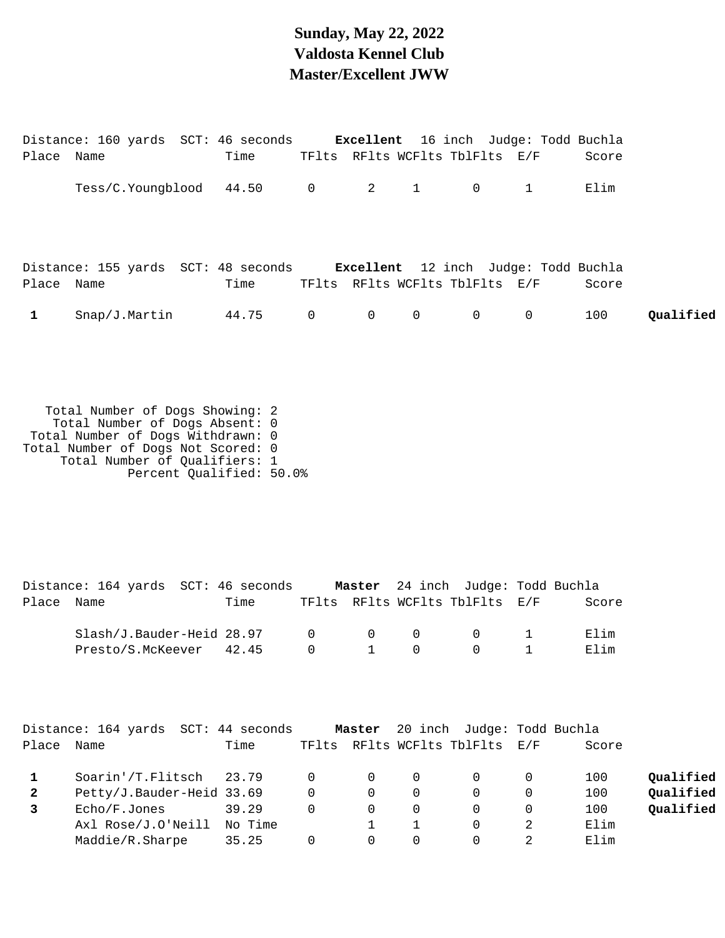# **Sunday, May 22, 2022 Valdosta Kennel Club Master/Excellent JWW**

| Place Name | Distance: 160 yards SCT: 46 seconds Excellent 16 inch Judge: Todd Buchla | Time |  | TFlts RFlts WCFlts TblFlts E/F | Score |           |
|------------|--------------------------------------------------------------------------|------|--|--------------------------------|-------|-----------|
|            | Tess/C.Youngblood 44.50 0 2 1 0 1                                        |      |  |                                | Elim  |           |
| Place Name | Distance: 155 yards SCT: 48 seconds Excellent 12 inch Judge: Todd Buchla | Time |  | TFlts RFlts WCFlts TblFlts E/F | Score |           |
|            | $Snap/J.Martin$ 44.75 0 0 0                                              |      |  | $\overline{0}$ 0               | 100   | Oualified |

 Total Number of Dogs Showing: 2 Total Number of Dogs Absent: 0 Total Number of Dogs Withdrawn: 0 Total Number of Dogs Not Scored: 0 Total Number of Qualifiers: 1 Percent Qualified: 50.0%

|            | Distance: 164 yards SCT: 46 seconds |      |  | Master 24 inch Judge: Todd Buchla       |       |
|------------|-------------------------------------|------|--|-----------------------------------------|-------|
| Place Name |                                     | Time |  | TFlts RFlts WCFlts TblFlts E/F          | Score |
|            | Slash/J.Bauder-Heid 28.97 0 0 0 0 1 |      |  |                                         | Elim  |
|            | Presto/S.McKeever 42.45             |      |  | $0 \qquad 1 \qquad 0 \qquad 0 \qquad 1$ | Flim  |

|              | Distance: 164 yards<br>SCT: | 44 seconds |          | Master   |          | 20 inch Judge: Todd Buchla |       |           |
|--------------|-----------------------------|------------|----------|----------|----------|----------------------------|-------|-----------|
| Place        | Name                        | Time       | TFlts    |          |          | RFlts WCFlts TblFlts E/F   | Score |           |
|              | Soarin'/T.Flitsch 23.79     |            | - 0      | $\Omega$ | $\Omega$ |                            | 100   | Qualified |
| $\mathbf{2}$ | Petty/J.Bauder-Heid 33.69   |            | $\Omega$ | $\Omega$ | 0        |                            | 100   | Qualified |
|              | Echo/F.Jones                | 39.29      | 0        | 0        | $\Omega$ |                            | 100   | Qualified |
|              | Axl Rose/J.O'Neill          | No Time    |          |          |          |                            | Elim  |           |
|              | Maddie/R.Sharpe             | 35.25      |          |          | $\Omega$ |                            | Elim  |           |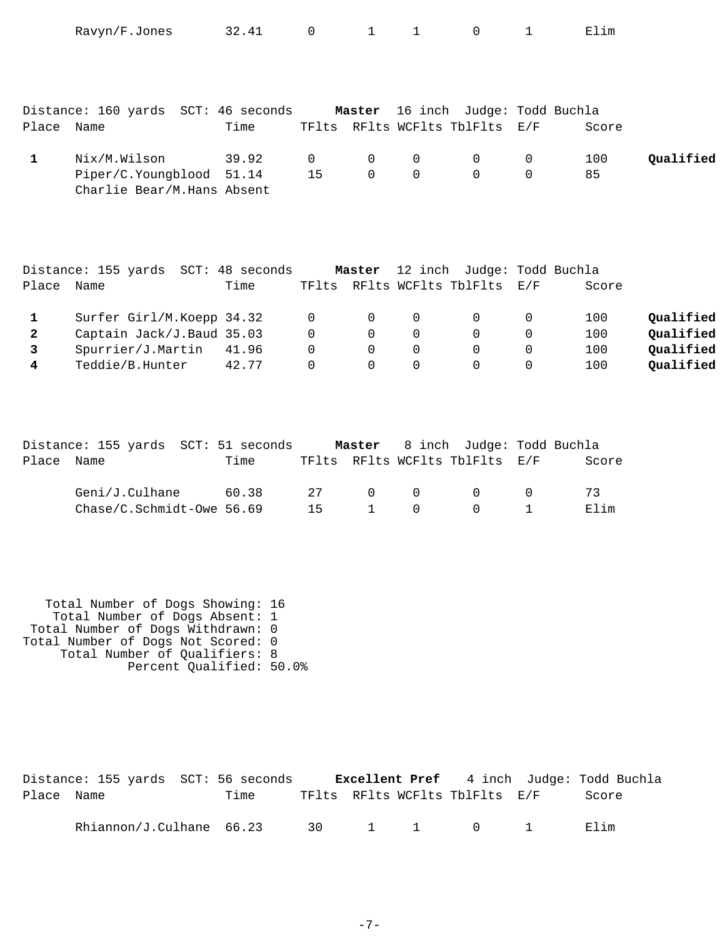|            | Distance: 160 yards SCT: 46 seconds |      |  | <b>Master</b> 16 inch Judge: Todd Buchla |          |       |           |
|------------|-------------------------------------|------|--|------------------------------------------|----------|-------|-----------|
| Place Name |                                     | Time |  | TFlts RFlts WCFlts TblFlts E/F           |          | Score |           |
|            | Nix/M.Wilson 39.92 0 0 0 0 0        |      |  |                                          |          | 100   | Qualified |
|            | Piper/C.Youngblood 51.14 15 0 0     |      |  | $\Omega$                                 | $\Omega$ | 85    |           |
|            | Charlie Bear/M.Hans Absent          |      |  |                                          |          |       |           |

Ravyn/F.Jones 32.41 0 1 1 0 1 Elim

|              | Distance: 155 yards SCT: 48 seconds |       |          | Master         |          |                          | 12 inch Judge: Todd Buchla |       |           |
|--------------|-------------------------------------|-------|----------|----------------|----------|--------------------------|----------------------------|-------|-----------|
| Place        | Name                                | Time  | TFlts    |                |          | RFlts WCFlts TblFlts E/F |                            | Score |           |
|              |                                     |       |          |                |          |                          |                            |       |           |
|              | Surfer Girl/M.Koepp 34.32           |       | $\Omega$ | $\overline{0}$ | $\Omega$ | $\Omega$                 |                            | 100   | Qualified |
| $\mathbf{2}$ | Captain Jack/J.Baud 35.03           |       | $\Omega$ |                |          |                          |                            | 100   | Qualified |
|              | Spurrier/J.Martin                   | 41.96 | 0        | 0              | 0        | $\Omega$                 |                            | 100   | Qualified |
| 4            | Teddie/B.Hunter                     | 42.77 | 0        | $\Omega$       |          |                          |                            | 100   | Qualified |

|            | Distance: 155 yards  SCT: 51 seconds |      |    |  | <b>Master</b> 8 inch Judge: Todd Buchla |       |
|------------|--------------------------------------|------|----|--|-----------------------------------------|-------|
| Place Name |                                      | Time |    |  | TFlts RFlts WCFlts TblFlts E/F          | Score |
|            | $Geni/J.Culhane$ 60.38               |      | 27 |  | $\begin{matrix} 0 & 0 & 0 \end{matrix}$ |       |
|            | Chase/C.Schmidt-Owe 56.69            |      |    |  | 15 1 0 0 1                              | Elim  |

 Total Number of Dogs Showing: 16 Total Number of Dogs Absent: 1 Total Number of Dogs Withdrawn: 0 Total Number of Dogs Not Scored: 0 Total Number of Qualifiers: 8 Percent Qualified: 50.0%

|            | Distance: 155 yards SCT: 56 seconds |      |  |                                | <b>Excellent Pref</b> 4 inch Judge: Todd Buchla |
|------------|-------------------------------------|------|--|--------------------------------|-------------------------------------------------|
| Place Name |                                     | Time |  | TFlts RFlts WCFlts TblFlts E/F | Score                                           |
|            | Rhiannon/J.Culhane 66.23 30 1 1 0 1 |      |  |                                | Elim                                            |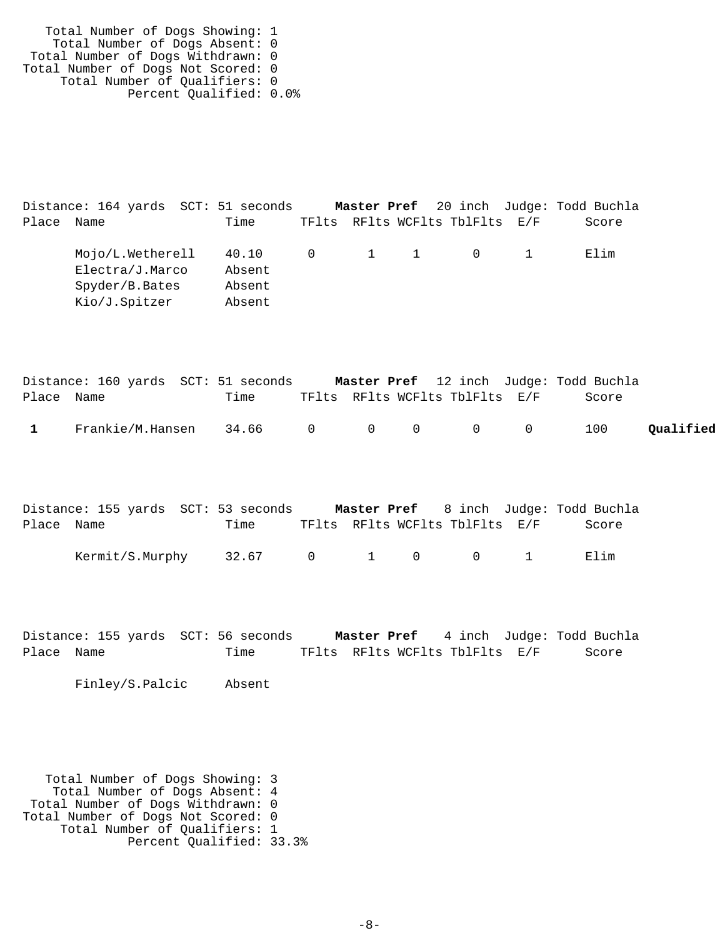Total Number of Dogs Showing: 1 Total Number of Dogs Absent: 0 Total Number of Dogs Withdrawn: 0 Total Number of Dogs Not Scored: 0 Total Number of Qualifiers: 0 Percent Qualified: 0.0%

Distance: 164 yards SCT: 51 seconds **Master Pref** 20 inch Judge: Todd Buchla Place Name Time TFlts RFlts WCFlts TblFlts E/F Score Mojo/L.Wetherell 40.10 0 1 1 0 1 Elim Electra/J.Marco Absent Spyder/B.Bates Absent Kio/J.Spitzer Absent

|              | Distance: 160 yards SCT: 51 seconds |                     |  |                                | Master Pref 12 inch Judge: Todd Buchla |           |
|--------------|-------------------------------------|---------------------|--|--------------------------------|----------------------------------------|-----------|
| Place Name   |                                     | Time                |  | TFlts RFlts WCFlts TblFlts E/F | Score                                  |           |
| $\mathbf{1}$ | Frankie/M.Hansen                    | $34.66$ 0 0 0 0 0 0 |  |                                | 100                                    | Oualified |

|            | Distance: 155 yards SCT: 53 seconds |      |  |                                | Master Pref 8 inch Judge: Todd Buchla |
|------------|-------------------------------------|------|--|--------------------------------|---------------------------------------|
| Place Name |                                     | Time |  | TFlts RFlts WCFlts TblFlts E/F | Score                                 |
|            | Kermit/S.Murphy 32.67 0 1 0 0 1     |      |  |                                | Elim                                  |

|            |  |      | Distance: 155 yards SCT: 56 seconds |  | <b>Master Pref</b> 4 inch Judge: Todd Buchla |  |  |       |
|------------|--|------|-------------------------------------|--|----------------------------------------------|--|--|-------|
| Place Name |  | Time |                                     |  | TFlts RFlts WCFlts TblFlts E/F               |  |  | Score |

Finley/S.Palcic Absent

 Total Number of Dogs Showing: 3 Total Number of Dogs Absent: 4 Total Number of Dogs Withdrawn: 0 Total Number of Dogs Not Scored: 0 Total Number of Qualifiers: 1 Percent Qualified: 33.3%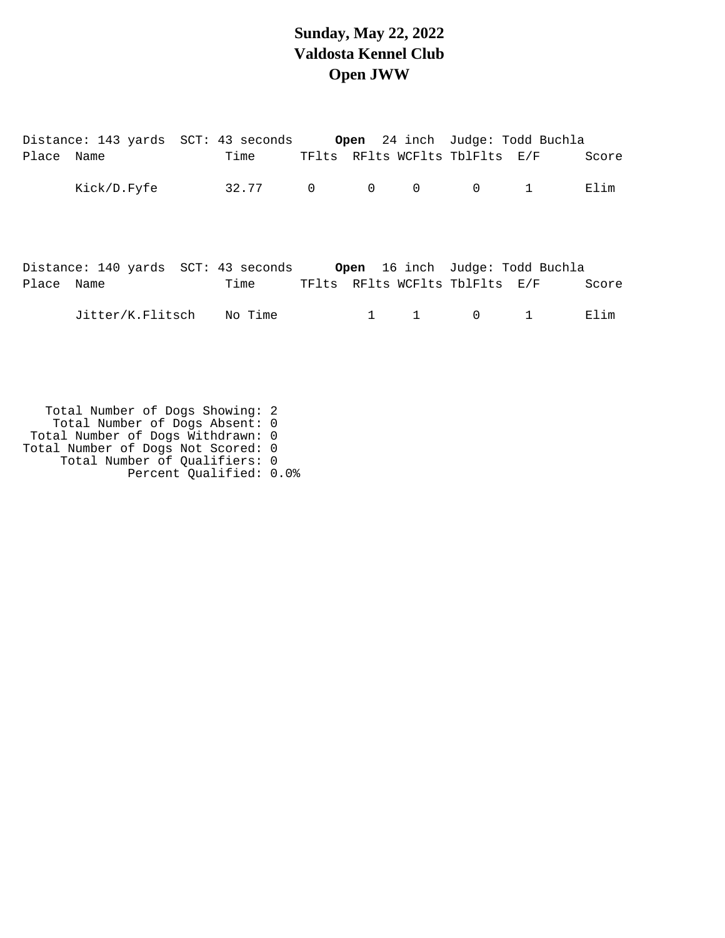# **Sunday, May 22, 2022 Valdosta Kennel Club Open JWW**

|            |             | Distance: 143 yards  SCT: 43 seconds <b>Open</b> 24 inch  Judge: Todd Buchla |                |                |                |                                |              |       |
|------------|-------------|------------------------------------------------------------------------------|----------------|----------------|----------------|--------------------------------|--------------|-------|
| Place Name |             | Time                                                                         |                |                |                | TFlts RFlts WCFlts TblFlts E/F |              | Score |
|            | Kick/D.Fyfe | 32.77                                                                        | $\overline{0}$ | $\overline{0}$ | $\overline{0}$ | $\mathbf 0$                    | 1            | Elim  |
|            |             |                                                                              |                |                |                |                                |              |       |
|            |             |                                                                              |                |                |                |                                |              |       |
|            |             |                                                                              |                |                |                |                                |              |       |
| Place Name |             | Time                                                                         |                |                |                | TFlts RFlts WCFlts TblFlts E/F |              | Score |
|            |             | Jitter/K.Flitsch No Time                                                     |                |                | $1 \quad 1$    | $\mathbf 0$                    | $\mathbf{1}$ | Elim  |
|            |             |                                                                              |                |                |                |                                |              |       |
|            |             |                                                                              |                |                |                |                                |              |       |
|            |             |                                                                              |                |                |                |                                |              |       |
|            |             | Total Number of Dogs Showing: 2                                              |                |                |                |                                |              |       |

Total Number of Dogs Absent: 0

Total Number of Dogs Withdrawn: 0

Total Number of Dogs Not Scored: 0

Total Number of Qualifiers: 0

Percent Qualified: 0.0%